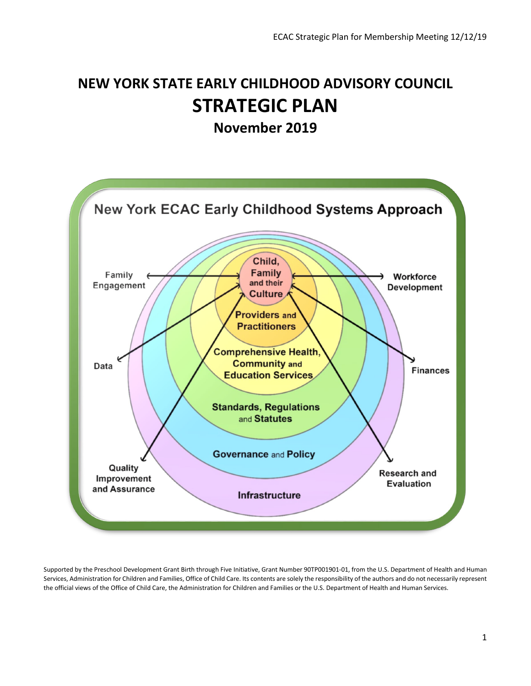# **NEW YORK STATE EARLY CHILDHOOD ADVISORY COUNCIL STRATEGIC PLAN**

**November 2019**



Supported by the Preschool Development Grant Birth through Five Initiative, Grant Number 90TP001901-01, from the U.S. Department of Health and Human Services, Administration for Children and Families, Office of Child Care. Its contents are solely the responsibility of the authors and do not necessarily represent the official views of the Office of Child Care, the Administration for Children and Families or the U.S. Department of Health and Human Services.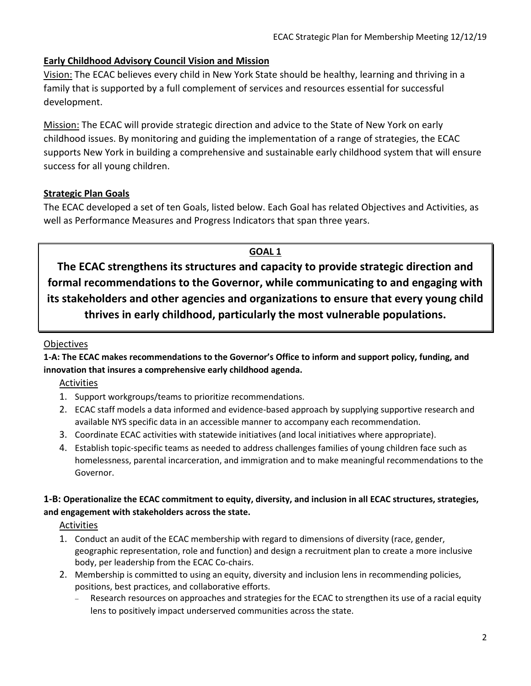# **Early Childhood Advisory Council Vision and Mission**

Vision: The ECAC believes every child in New York State should be healthy, learning and thriving in a family that is supported by a full complement of services and resources essential for successful development.

Mission: The ECAC will provide strategic direction and advice to the State of New York on early childhood issues. By monitoring and guiding the implementation of a range of strategies, the ECAC supports New York in building a comprehensive and sustainable early childhood system that will ensure success for all young children.

# **Strategic Plan Goals**

The ECAC developed a set of ten Goals, listed below. Each Goal has related Objectives and Activities, as well as Performance Measures and Progress Indicators that span three years.

## **GOAL 1**

**The ECAC strengthens its structures and capacity to provide strategic direction and formal recommendations to the Governor, while communicating to and engaging with its stakeholders and other agencies and organizations to ensure that every young child thrives in early childhood, particularly the most vulnerable populations.**

#### **Objectives**

**1-A: The ECAC makes recommendations to the Governor's Office to inform and support policy, funding, and innovation that insures a comprehensive early childhood agenda.** 

Activities

- 1. Support workgroups/teams to prioritize recommendations.
- 2. ECAC staff models a data informed and evidence-based approach by supplying supportive research and available NYS specific data in an accessible manner to accompany each recommendation.
- 3. Coordinate ECAC activities with statewide initiatives (and local initiatives where appropriate).
- 4. Establish topic-specific teams as needed to address challenges families of young children face such as homelessness, parental incarceration, and immigration and to make meaningful recommendations to the Governor.

## **1-B: Operationalize the ECAC commitment to equity, diversity, and inclusion in all ECAC structures, strategies, and engagement with stakeholders across the state.**

**Activities** 

- 1. Conduct an audit of the ECAC membership with regard to dimensions of diversity (race, gender, geographic representation, role and function) and design a recruitment plan to create a more inclusive body, per leadership from the ECAC Co-chairs.
- 2. Membership is committed to using an equity, diversity and inclusion lens in recommending policies, positions, best practices, and collaborative efforts.
	- Research resources on approaches and strategies for the ECAC to strengthen its use of a racial equity lens to positively impact underserved communities across the state.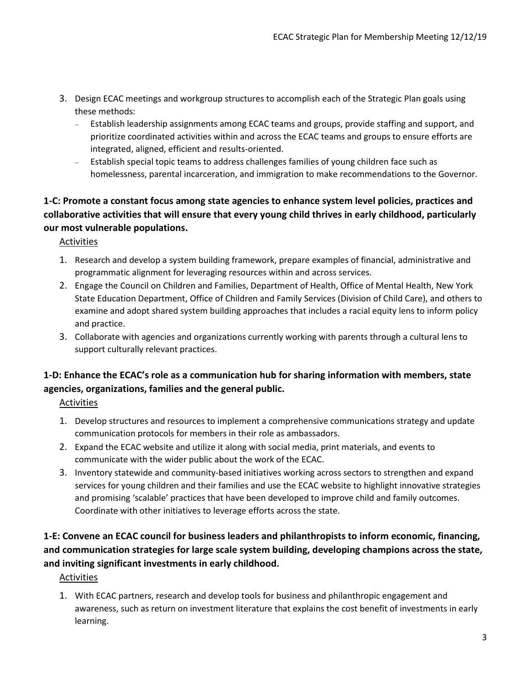- 3. Design ECAC meetings and workgroup structures to accomplish each of the Strategic Plan goals using these methods:
	- − Establish leadership assignments among ECAC teams and groups, provide staffing and support, and prioritize coordinated activities within and across the ECAC teams and groups to ensure efforts are integrated, aligned, efficient and results-oriented.
	- − Establish special topic teams to address challenges families of young children face such as homelessness, parental incarceration, and immigration to make recommendations to the Governor.

# **1-C: Promote a constant focus among state agencies to enhance system level policies, practices and collaborative activities that will ensure that every young child thrives in early childhood, particularly our most vulnerable populations.**

Activities

- 1. Research and develop a system building framework, prepare examples of financial, administrative and programmatic alignment for leveraging resources within and across services.
- 2. Engage the Council on Children and Families, Department of Health, Office of Mental Health, New York State Education Department, Office of Children and Family Services (Division of Child Care), and others to examine and adopt shared system building approaches that includes a racial equity lens to inform policy and practice.
- 3. Collaborate with agencies and organizations currently working with parents through a cultural lens to support culturally relevant practices.

# **1-D: Enhance the ECAC's role as a communication hub for sharing information with members, state agencies, organizations, families and the general public.**

**Activities** 

- 1. Develop structures and resources to implement a comprehensive communications strategy and update communication protocols for members in their role as ambassadors.
- 2. Expand the ECAC website and utilize it along with social media, print materials, and events to communicate with the wider public about the work of the ECAC.
- 3. Inventory statewide and community-based initiatives working across sectors to strengthen and expand services for young children and their families and use the ECAC website to highlight innovative strategies and promising 'scalable' practices that have been developed to improve child and family outcomes. Coordinate with other initiatives to leverage efforts across the state.

# **1-E: Convene an ECAC council for business leaders and philanthropists to inform economic, financing, and communication strategies for large scale system building, developing champions across the state, and inviting significant investments in early childhood.**

Activities

1. With ECAC partners, research and develop tools for business and philanthropic engagement and awareness, such as return on investment literature that explains the cost benefit of investments in early learning.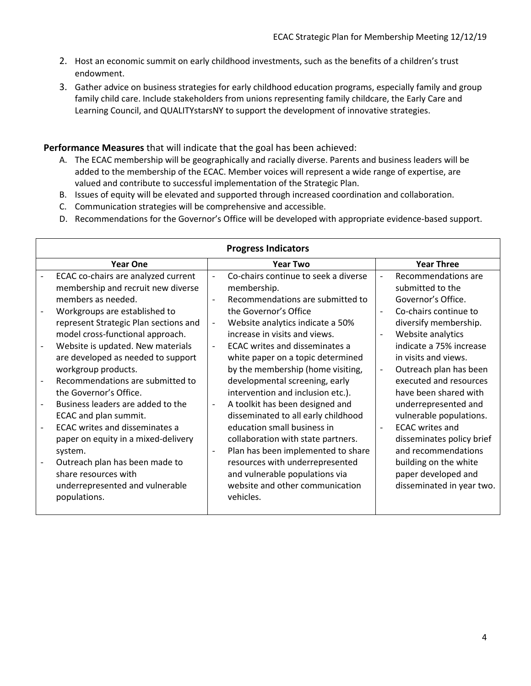- 2. Host an economic summit on early childhood investments, such as the benefits of a children's trust endowment.
- 3. Gather advice on business strategies for early childhood education programs, especially family and group family child care. Include stakeholders from unions representing family childcare, the Early Care and Learning Council, and QUALITYstarsNY to support the development of innovative strategies.

#### **Performance Measures** that will indicate that the goal has been achieved:

- A. The ECAC membership will be geographically and racially diverse. Parents and business leaders will be added to the membership of the ECAC. Member voices will represent a wide range of expertise, are valued and contribute to successful implementation of the Strategic Plan.
- B. Issues of equity will be elevated and supported through increased coordination and collaboration.
- C. Communication strategies will be comprehensive and accessible.
- D. Recommendations for the Governor's Office will be developed with appropriate evidence-based support.

| <b>Progress Indicators</b>            |                              |                                      |                          |                           |  |
|---------------------------------------|------------------------------|--------------------------------------|--------------------------|---------------------------|--|
| <b>Year One</b>                       |                              | <b>Year Two</b>                      |                          | <b>Year Three</b>         |  |
| ECAC co-chairs are analyzed current   | $\overline{\phantom{a}}$     | Co-chairs continue to seek a diverse | $\overline{\phantom{a}}$ | Recommendations are       |  |
| membership and recruit new diverse    |                              | membership.                          |                          | submitted to the          |  |
| members as needed.                    | $\overline{\phantom{a}}$     | Recommendations are submitted to     |                          | Governor's Office.        |  |
| Workgroups are established to         |                              | the Governor's Office                | $\blacksquare$           | Co-chairs continue to     |  |
| represent Strategic Plan sections and | $\qquad \qquad \blacksquare$ | Website analytics indicate a 50%     |                          | diversify membership.     |  |
| model cross-functional approach.      |                              | increase in visits and views.        |                          | Website analytics         |  |
| Website is updated. New materials     | $\overline{\phantom{a}}$     | ECAC writes and disseminates a       |                          | indicate a 75% increase   |  |
| are developed as needed to support    |                              | white paper on a topic determined    |                          | in visits and views.      |  |
| workgroup products.                   |                              | by the membership (home visiting,    | $\overline{\phantom{a}}$ | Outreach plan has been    |  |
| Recommendations are submitted to      |                              | developmental screening, early       |                          | executed and resources    |  |
| the Governor's Office.                |                              | intervention and inclusion etc.).    |                          | have been shared with     |  |
| Business leaders are added to the     |                              | A toolkit has been designed and      |                          | underrepresented and      |  |
| ECAC and plan summit.                 |                              | disseminated to all early childhood  |                          | vulnerable populations.   |  |
| <b>ECAC</b> writes and disseminates a |                              | education small business in          | $\blacksquare$           | <b>ECAC</b> writes and    |  |
| paper on equity in a mixed-delivery   |                              | collaboration with state partners.   |                          | disseminates policy brief |  |
| system.                               | $\overline{\phantom{m}}$     | Plan has been implemented to share   |                          | and recommendations       |  |
| Outreach plan has been made to        |                              | resources with underrepresented      |                          | building on the white     |  |
| share resources with                  |                              | and vulnerable populations via       |                          | paper developed and       |  |
| underrepresented and vulnerable       |                              | website and other communication      |                          | disseminated in year two. |  |
| populations.                          |                              | vehicles.                            |                          |                           |  |
|                                       |                              |                                      |                          |                           |  |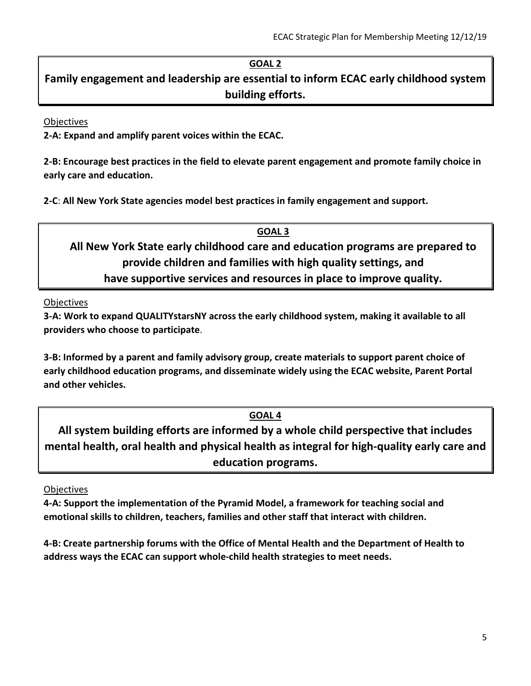# **GOAL 2**

**Family engagement and leadership are essential to inform ECAC early childhood system building efforts.**

#### **Objectives**

**2-A: Expand and amplify parent voices within the ECAC.** 

**2-B: Encourage best practices in the field to elevate parent engagement and promote family choice in early care and education.** 

**2-C**: **All New York State agencies model best practices in family engagement and support.** 

**GOAL 3 All New York State early childhood care and education programs are prepared to provide children and families with high quality settings, and have supportive services and resources in place to improve quality.** 

**Objectives** 

**3-A: Work to expand QUALITYstarsNY across the early childhood system, making it available to all providers who choose to participate**.

**3-B: Informed by a parent and family advisory group, create materials to support parent choice of early childhood education programs, and disseminate widely using the ECAC website, Parent Portal and other vehicles.** 

# **GOAL 4**

**All system building efforts are informed by a whole child perspective that includes mental health, oral health and physical health as integral for high-quality early care and education programs.**

**Objectives** 

**4-A: Support the implementation of the Pyramid Model, a framework for teaching social and emotional skills to children, teachers, families and other staff that interact with children.** 

**4-B: Create partnership forums with the Office of Mental Health and the Department of Health to address ways the ECAC can support whole-child health strategies to meet needs.**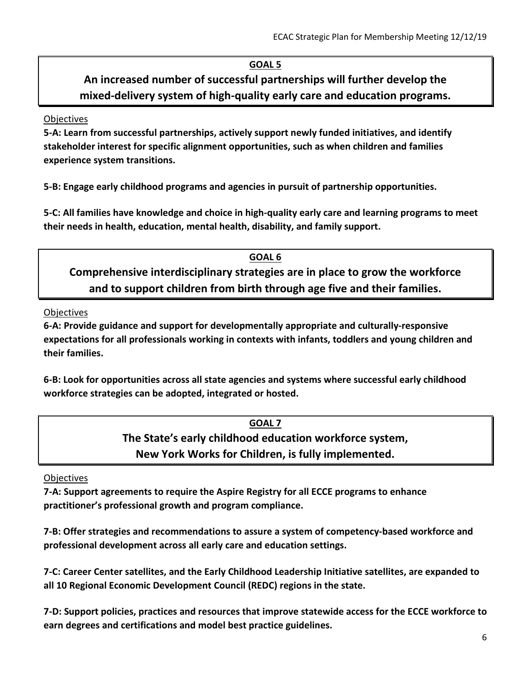# **GOAL 5**

**An increased number of successful partnerships will further develop the mixed-delivery system of high-quality early care and education programs.**

#### **Objectives**

**5-A: Learn from successful partnerships, actively support newly funded initiatives, and identify stakeholder interest for specific alignment opportunities, such as when children and families experience system transitions.**

**5-B: Engage early childhood programs and agencies in pursuit of partnership opportunities.**

**5-C: All families have knowledge and choice in high-quality early care and learning programs to meet their needs in health, education, mental health, disability, and family support.**

**GOAL 6 Comprehensive interdisciplinary strategies are in place to grow the workforce and to support children from birth through age five and their families.** 

**Objectives** 

**6-A: Provide guidance and support for developmentally appropriate and culturally-responsive expectations for all professionals working in contexts with infants, toddlers and young children and their families.** 

**6-B: Look for opportunities across all state agencies and systems where successful early childhood workforce strategies can be adopted, integrated or hosted.**

# **GOAL 7 The State's early childhood education workforce system, New York Works for Children, is fully implemented.**

## **Objectives**

**7-A: Support agreements to require the Aspire Registry for all ECCE programs to enhance practitioner's professional growth and program compliance.** 

**7-B: Offer strategies and recommendations to assure a system of competency-based workforce and professional development across all early care and education settings.**

**7-C: Career Center satellites, and the Early Childhood Leadership Initiative satellites, are expanded to all 10 Regional Economic Development Council (REDC) regions in the state.** 

**7-D: Support policies, practices and resources that improve statewide access for the ECCE workforce to earn degrees and certifications and model best practice guidelines.**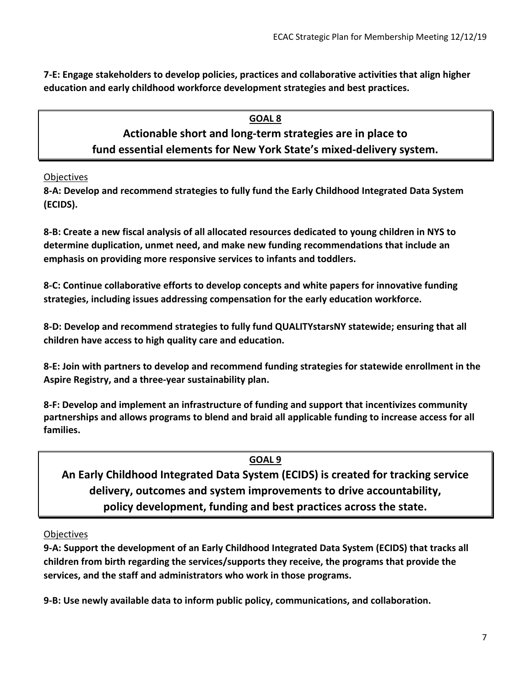**7-E: Engage stakeholders to develop policies, practices and collaborative activities that align higher education and early childhood workforce development strategies and best practices.**

# **GOAL 8**

# **Actionable short and long-term strategies are in place to fund essential elements for New York State's mixed-delivery system.**

**Objectives** 

**8-A: Develop and recommend strategies to fully fund the Early Childhood Integrated Data System (ECIDS).** 

**8-B: Create a new fiscal analysis of all allocated resources dedicated to young children in NYS to determine duplication, unmet need, and make new funding recommendations that include an emphasis on providing more responsive services to infants and toddlers.** 

**8-C: Continue collaborative efforts to develop concepts and white papers for innovative funding strategies, including issues addressing compensation for the early education workforce.**

**8-D: Develop and recommend strategies to fully fund QUALITYstarsNY statewide; ensuring that all children have access to high quality care and education.** 

**8-E: Join with partners to develop and recommend funding strategies for statewide enrollment in the Aspire Registry, and a three-year sustainability plan.** 

**8-F: Develop and implement an infrastructure of funding and support that incentivizes community partnerships and allows programs to blend and braid all applicable funding to increase access for all families.**

## **GOAL 9**

**An Early Childhood Integrated Data System (ECIDS) is created for tracking service delivery, outcomes and system improvements to drive accountability, policy development, funding and best practices across the state.** 

## **Objectives**

**9-A: Support the development of an Early Childhood Integrated Data System (ECIDS) that tracks all children from birth regarding the services/supports they receive, the programs that provide the services, and the staff and administrators who work in those programs.** 

**9-B: Use newly available data to inform public policy, communications, and collaboration.**